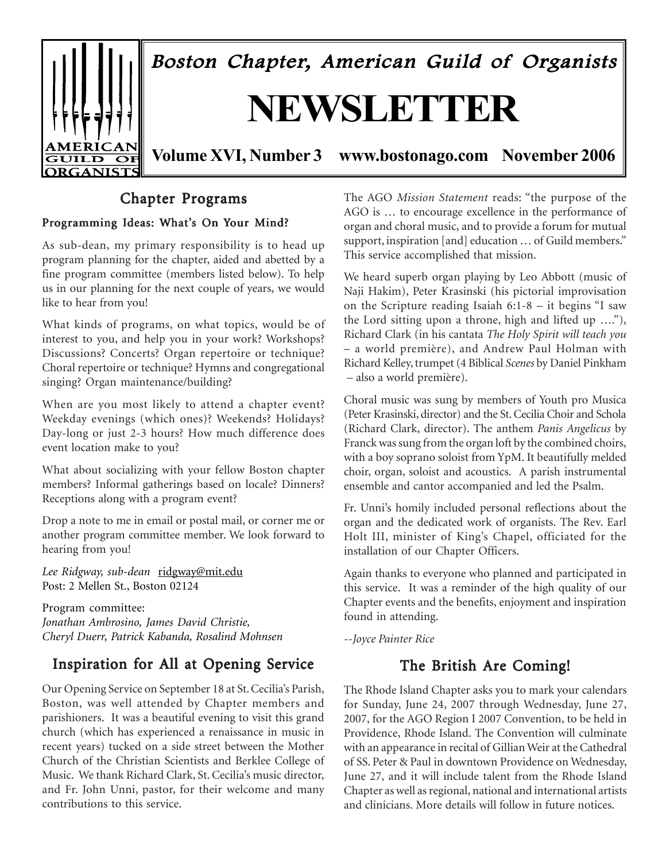

# Chapter Programs

### Programming Ideas: What's On Your Mind?

As sub-dean, my primary responsibility is to head up program planning for the chapter, aided and abetted by a fine program committee (members listed below). To help us in our planning for the next couple of years, we would like to hear from you!

What kinds of programs, on what topics, would be of interest to you, and help you in your work? Workshops? Discussions? Concerts? Organ repertoire or technique? Choral repertoire or technique? Hymns and congregational singing? Organ maintenance/building?

When are you most likely to attend a chapter event? Weekday evenings (which ones)? Weekends? Holidays? Day-long or just 2-3 hours? How much difference does event location make to you?

What about socializing with your fellow Boston chapter members? Informal gatherings based on locale? Dinners? Receptions along with a program event?

Drop a note to me in email or postal mail, or corner me or another program committee member. We look forward to hearing from you!

*Lee Ridgway, sub-dean* ridgway@mit.edu Post: 2 Mellen St., Boston 02124

Program committee: *Jonathan Ambrosino, James David Christie, Cheryl Duerr, Patrick Kabanda, Rosalind Mohnsen*

# Inspiration for All at Opening Service

Our Opening Service on September 18 at St. Cecilia's Parish, Boston, was well attended by Chapter members and parishioners. It was a beautiful evening to visit this grand church (which has experienced a renaissance in music in recent years) tucked on a side street between the Mother Church of the Christian Scientists and Berklee College of Music. We thank Richard Clark, St. Cecilia's music director, and Fr. John Unni, pastor, for their welcome and many contributions to this service.

The AGO *Mission Statement* reads: "the purpose of the AGO is … to encourage excellence in the performance of organ and choral music, and to provide a forum for mutual support, inspiration [and] education ... of Guild members." This service accomplished that mission.

We heard superb organ playing by Leo Abbott (music of Naji Hakim), Peter Krasinski (his pictorial improvisation on the Scripture reading Isaiah 6:1-8 – it begins "I saw the Lord sitting upon a throne, high and lifted up …."), Richard Clark (in his cantata *The Holy Spirit will teach you* – a world première), and Andrew Paul Holman with Richard Kelley, trumpet (4 Biblical *Scenes* by Daniel Pinkham – also a world première).

Choral music was sung by members of Youth pro Musica (Peter Krasinski, director) and the St. Cecilia Choir and Schola (Richard Clark, director). The anthem *Panis Angelicus* by Franck was sung from the organ loft by the combined choirs, with a boy soprano soloist from YpM. It beautifully melded choir, organ, soloist and acoustics. A parish instrumental ensemble and cantor accompanied and led the Psalm.

Fr. Unni's homily included personal reflections about the organ and the dedicated work of organists. The Rev. Earl Holt III, minister of King's Chapel, officiated for the installation of our Chapter Officers.

Again thanks to everyone who planned and participated in this service. It was a reminder of the high quality of our Chapter events and the benefits, enjoyment and inspiration found in attending.

*--Joyce Painter Rice*

# The British Are Coming!

The Rhode Island Chapter asks you to mark your calendars for Sunday, June 24, 2007 through Wednesday, June 27, 2007, for the AGO Region I 2007 Convention, to be held in Providence, Rhode Island. The Convention will culminate with an appearance in recital of Gillian Weir at the Cathedral of SS. Peter & Paul in downtown Providence on Wednesday, June 27, and it will include talent from the Rhode Island Chapter as well as regional, national and international artists and clinicians. More details will follow in future notices.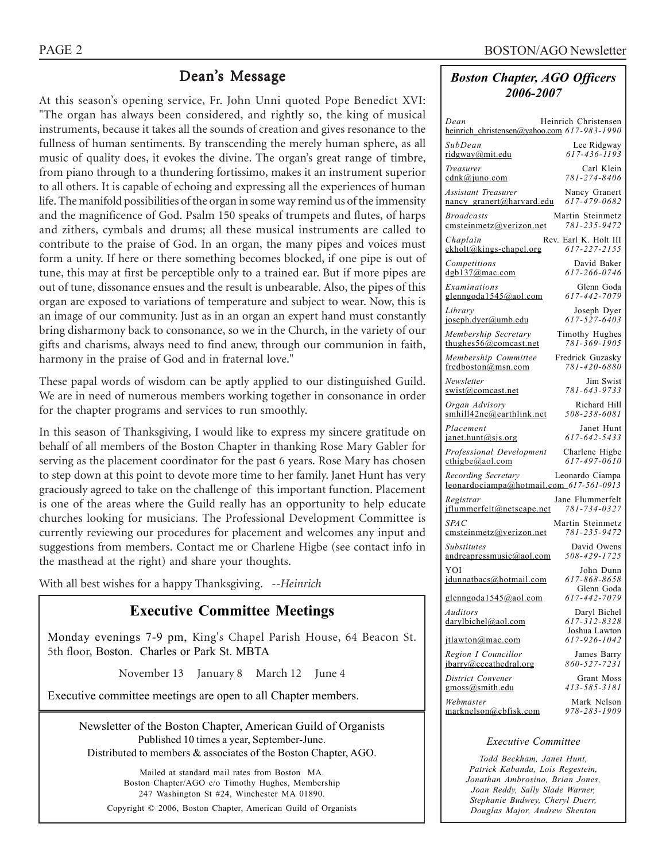## Dean's Message

At this season's opening service, Fr. John Unni quoted Pope Benedict XVI: "The organ has always been considered, and rightly so, the king of musical instruments, because it takes all the sounds of creation and gives resonance to the fullness of human sentiments. By transcending the merely human sphere, as all music of quality does, it evokes the divine. The organ's great range of timbre, from piano through to a thundering fortissimo, makes it an instrument superior to all others. It is capable of echoing and expressing all the experiences of human life. The manifold possibilities of the organ in some way remind us of the immensity and the magnificence of God. Psalm 150 speaks of trumpets and flutes, of harps and zithers, cymbals and drums; all these musical instruments are called to contribute to the praise of God. In an organ, the many pipes and voices must form a unity. If here or there something becomes blocked, if one pipe is out of tune, this may at first be perceptible only to a trained ear. But if more pipes are out of tune, dissonance ensues and the result is unbearable. Also, the pipes of this organ are exposed to variations of temperature and subject to wear. Now, this is an image of our community. Just as in an organ an expert hand must constantly bring disharmony back to consonance, so we in the Church, in the variety of our gifts and charisms, always need to find anew, through our communion in faith, harmony in the praise of God and in fraternal love."

These papal words of wisdom can be aptly applied to our distinguished Guild. We are in need of numerous members working together in consonance in order for the chapter programs and services to run smoothly.

In this season of Thanksgiving, I would like to express my sincere gratitude on behalf of all members of the Boston Chapter in thanking Rose Mary Gabler for serving as the placement coordinator for the past 6 years. Rose Mary has chosen to step down at this point to devote more time to her family. Janet Hunt has very graciously agreed to take on the challenge of this important function. Placement is one of the areas where the Guild really has an opportunity to help educate churches looking for musicians. The Professional Development Committee is currently reviewing our procedures for placement and welcomes any input and suggestions from members. Contact me or Charlene Higbe (see contact info in the masthead at the right) and share your thoughts.

With all best wishes for a happy Thanksgiving. *--Heinrich*

### **Executive Committee Meetings**

Monday evenings 7-9 pm, King's Chapel Parish House, 64 Beacon St. 5th floor, Boston. Charles or Park St. MBTA

November 13 January 8 March 12 June 4

Executive committee meetings are open to all Chapter members.

Newsletter of the Boston Chapter, American Guild of Organists Published 10 times a year, September-June. Distributed to members & associates of the Boston Chapter, AGO.

Mailed at standard mail rates from Boston MA. Boston Chapter/AGO c/o Timothy Hughes, Membership 247 Washington St #24, Winchester MA 01890. Copyright © 2006, Boston Chapter, American Guild of Organists

### *Boston Chapter, AGO Officers 2006-2007*

| Dean<br>heinrich_christensen@yahoo.com 617-983-1990            | Heinrich Christensen                          |
|----------------------------------------------------------------|-----------------------------------------------|
| SubDean<br>ridgway@mit.edu                                     | Lee Ridgway<br>617-436-1193                   |
| Treasurer<br><u>cdnk@juno.com</u>                              | Carl Klein<br>781-274-8406                    |
| Assistant Treasurer<br>nancy granert@harvard.edu               | Nancy Granert<br>617-479-0682                 |
| <b>Broadcasts</b><br>emsteinmetz@verizon.net                   | Martin Steinmetz<br>781-235-9472              |
| Chaplain<br>ekholt@kings-chapel.org                            | Rev. Earl K. Holt III<br>617-227-2155         |
| Competitions<br>dgb137@mac.com                                 | David Baker<br>617-266-0746                   |
| Examinations<br>glenngoda1545@aol.com                          | Glenn Goda<br>617-442-7079                    |
| Library<br>joseph.dyer@umb.edu                                 | Joseph Dyer<br>617-527-6403                   |
| Membership Secretary<br>thughes $56@$ comcast.net              | Timothy Hughes<br>781-369-1905                |
| Membership Committee<br>fredboston@msn.com                     | Fredrick Guzasky<br>781-420-6880              |
| Newsletter<br>swist@comcast.net                                | Jim Swist<br>781-643-9733                     |
| Organ Advisory<br>smhill42ne@earthlink.net                     | Richard Hill<br>508-238-6081                  |
| Placement<br>$j$ anet.hunt@sjs.org                             | Janet Hunt<br>617-642-5433                    |
| Professional Development<br>$\text{cthigbe}(a)$ aol.com        | Charlene Higbe<br>617-497-0610                |
| Recording Secretary<br>leonardociampa@hotmail.com_617-561-0913 | Leonardo Ciampa                               |
| Registrar<br>iflummerfelt@netscape.net                         | Jane Flummerfelt<br>781-734-0327              |
| <i>SPAC</i><br>cmsteinmetz@verizon.net                         | Martin Steinmetz<br>781-235-9472              |
| <b>Substitutes</b><br>andreapressmusic@aol.com                 | David Owens<br>508-429-1725                   |
| YOI<br>jdunnatbacs@hotmail.com                                 | John Dunn<br>617-868-8658<br>Glenn Goda       |
| glenngoda1545@aol.com                                          | 617-442-7079                                  |
| Auditors<br>darylbichel@aol.com                                | Daryl Bichel<br>617-312-8328<br>Joshua Lawton |
| itlawton(a) mac.com                                            | 617-926-1042                                  |
| Region I Councillor<br>jbarry@cccathedral.org                  | James Barry<br>860-527-7231                   |
| District Convener<br>$g$ moss $(a)$ smith.edu                  | Grant Moss<br>$413 - 585 - 3181$              |
| Webmaster<br>marknelson@cbfisk.com                             | Mark Nelson<br>978-283-1909                   |

### *Executive Committee*

*Todd Beckham, Janet Hunt, Patrick Kabanda, Lois Regestein, Jonathan Ambrosino, Brian Jones, Joan Reddy, Sally Slade Warner, Stephanie Budwey, Cheryl Duerr, Douglas Major, Andrew Shenton*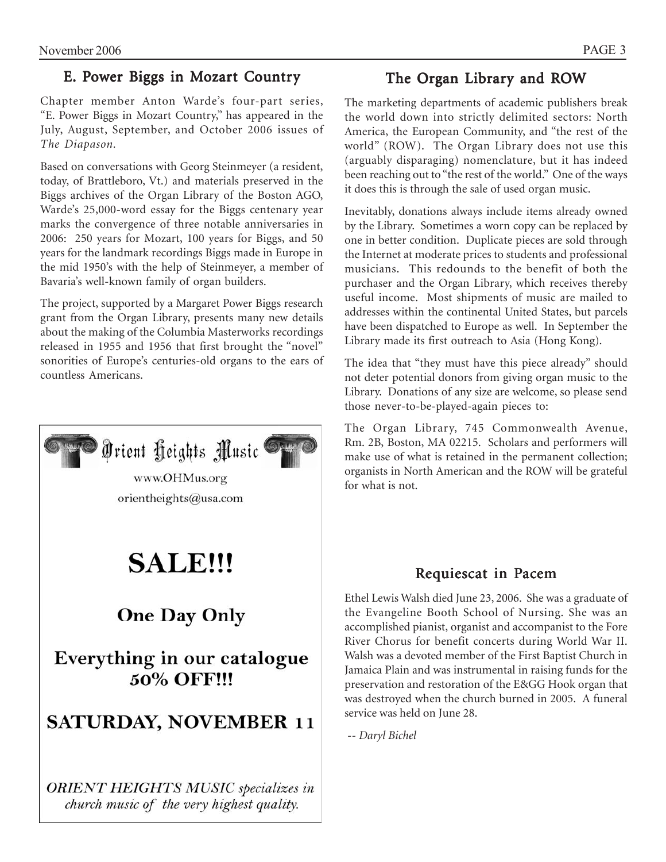# E. Power Biggs in Mozart Country

Chapter member Anton Warde's four-part series, "E. Power Biggs in Mozart Country," has appeared in the July, August, September, and October 2006 issues of *The Diapason.*

Based on conversations with Georg Steinmeyer (a resident, today, of Brattleboro, Vt.) and materials preserved in the Biggs archives of the Organ Library of the Boston AGO, Warde's 25,000-word essay for the Biggs centenary year marks the convergence of three notable anniversaries in 2006: 250 years for Mozart, 100 years for Biggs, and 50 years for the landmark recordings Biggs made in Europe in the mid 1950's with the help of Steinmeyer, a member of Bavaria's well-known family of organ builders.

The project, supported by a Margaret Power Biggs research grant from the Organ Library, presents many new details about the making of the Columbia Masterworks recordings released in 1955 and 1956 that first brought the "novel" sonorities of Europe's centuries-old organs to the ears of countless Americans.



# The Organ Library and ROW

The marketing departments of academic publishers break the world down into strictly delimited sectors: North America, the European Community, and "the rest of the world" (ROW). The Organ Library does not use this (arguably disparaging) nomenclature, but it has indeed been reaching out to "the rest of the world." One of the ways it does this is through the sale of used organ music.

Inevitably, donations always include items already owned by the Library. Sometimes a worn copy can be replaced by one in better condition. Duplicate pieces are sold through the Internet at moderate prices to students and professional musicians. This redounds to the benefit of both the purchaser and the Organ Library, which receives thereby useful income. Most shipments of music are mailed to addresses within the continental United States, but parcels have been dispatched to Europe as well. In September the Library made its first outreach to Asia (Hong Kong).

The idea that "they must have this piece already" should not deter potential donors from giving organ music to the Library. Donations of any size are welcome, so please send those never-to-be-played-again pieces to:

The Organ Library, 745 Commonwealth Avenue, Rm. 2B, Boston, MA 02215. Scholars and performers will make use of what is retained in the permanent collection; organists in North American and the ROW will be grateful for what is not.

# Requiescat in Pacem

Ethel Lewis Walsh died June 23, 2006. She was a graduate of the Evangeline Booth School of Nursing. She was an accomplished pianist, organist and accompanist to the Fore River Chorus for benefit concerts during World War II. Walsh was a devoted member of the First Baptist Church in Jamaica Plain and was instrumental in raising funds for the preservation and restoration of the E&GG Hook organ that was destroyed when the church burned in 2005. A funeral service was held on June 28.

 *-- Daryl Bichel*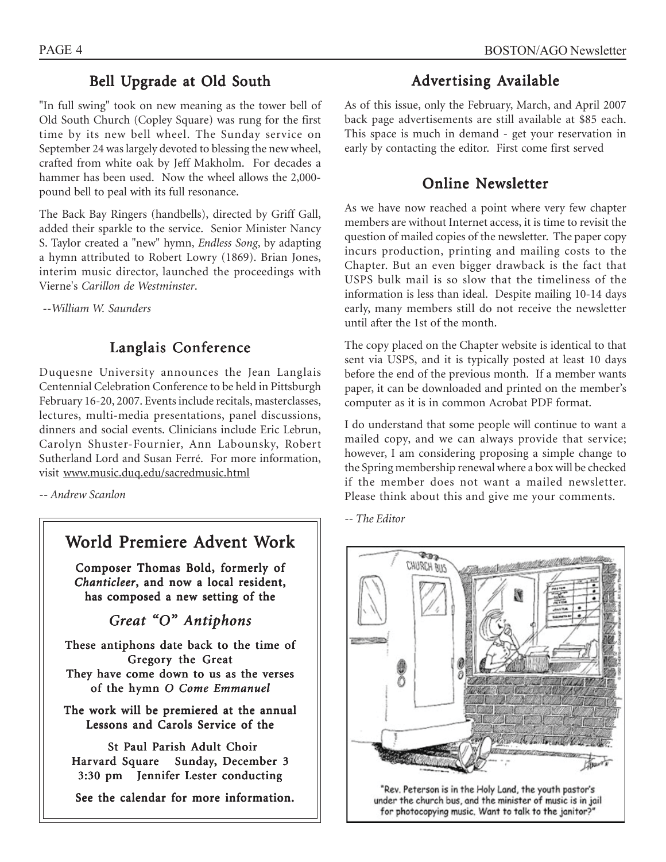# Bell Upgrade at Old South

"In full swing" took on new meaning as the tower bell of Old South Church (Copley Square) was rung for the first time by its new bell wheel. The Sunday service on September 24 was largely devoted to blessing the new wheel, crafted from white oak by Jeff Makholm. For decades a hammer has been used. Now the wheel allows the 2,000 pound bell to peal with its full resonance.

The Back Bay Ringers (handbells), directed by Griff Gall, added their sparkle to the service. Senior Minister Nancy S. Taylor created a "new" hymn, *Endless Song*, by adapting a hymn attributed to Robert Lowry (1869). Brian Jones, interim music director, launched the proceedings with Vierne's *Carillon de Westminster*.

 *--William W. Saunders*

# Langlais Conference

Duquesne University announces the Jean Langlais Centennial Celebration Conference to be held in Pittsburgh February 16-20, 2007. Events include recitals, masterclasses, lectures, multi-media presentations, panel discussions, dinners and social events. Clinicians include Eric Lebrun, Carolyn Shuster-Fournier, Ann Labounsky, Robert Sutherland Lord and Susan Ferré. For more information, visit www.music.duq.edu/sacredmusic.html

*-- Andrew Scanlon*

# World Premiere Advent Work Composer Thomas Bold, formerly of *Chanticleer*, and now a local resident, has composed a new setting of the *Great "O" Antiphons* These antiphons date back to the time of Gregory the Great They have come down to us as the verses of the hymn O Come Emmanuel The work will be premiered at the annual Lessons and Carols Service of the St Paul Parish Adult Choir Harvard Square Sunday, December 3 3:30 pm Jennifer Lester conducting See the calendar for more information.

# Advertising Available

As of this issue, only the February, March, and April 2007 back page advertisements are still available at \$85 each. This space is much in demand - get your reservation in early by contacting the editor. First come first served

# Online Newsletter

As we have now reached a point where very few chapter members are without Internet access, it is time to revisit the question of mailed copies of the newsletter. The paper copy incurs production, printing and mailing costs to the Chapter. But an even bigger drawback is the fact that USPS bulk mail is so slow that the timeliness of the information is less than ideal. Despite mailing 10-14 days early, many members still do not receive the newsletter until after the 1st of the month.

The copy placed on the Chapter website is identical to that sent via USPS, and it is typically posted at least 10 days before the end of the previous month. If a member wants paper, it can be downloaded and printed on the member's computer as it is in common Acrobat PDF format.

I do understand that some people will continue to want a mailed copy, and we can always provide that service; however, I am considering proposing a simple change to the Spring membership renewal where a box will be checked if the member does not want a mailed newsletter. Please think about this and give me your comments.

*-- The Editor*



"Rev. Peterson is in the Holy Land, the youth pastor's under the church bus, and the minister of music is in jail for photocopying music. Want to talk to the janitor?"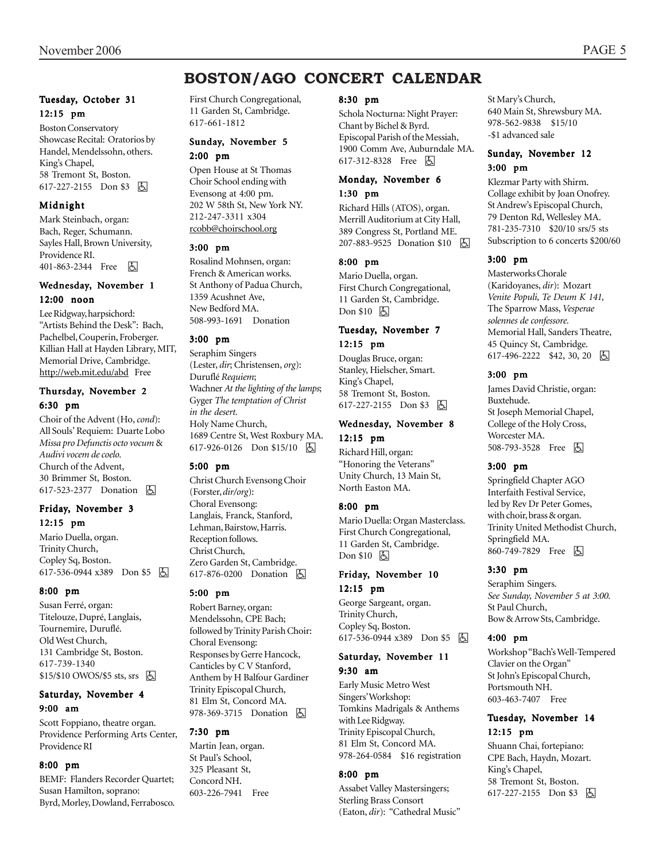# **BOSTON/AGO CONCERT CALENDAR**

### Tuesday, October 31 12:15 pm

Boston Conservatory Showcase Recital: Oratorios by Handel, Mendelssohn, others. King's Chapel, 58 Tremont St, Boston. 617-227-2155 Don \$3 因

### Midnight

Mark Steinbach, organ: Bach, Reger, Schumann. Sayles Hall, Brown University, Providence RI. 401-863-2344 Free 因

### Wednesday, November 1 12:00 noon

Lee Ridgway, harpsichord: "Artists Behind the Desk": Bach, Pachelbel, Couperin, Froberger. Killian Hall at Hayden Library, MIT, Memorial Drive, Cambridge. http://web.mit.edu/abd Free

### Thursday, November 2 6:30 pm

Choir of the Advent (Ho, *cond*): All Souls' Requiem: Duarte Lobo *Missa pro Defunctis octo vocum* & *Audivi vocem de coelo.* Church of the Advent, 30 Brimmer St, Boston. 617-523-2377 Donation **b** 

### Friday, November 3 12:15 pm

Mario Duella, organ. Trinity Church, Copley Sq, Boston. 617-536-0944 x389 Don \$5 因

### 8:00 pm

Susan Ferré, organ: Titelouze, Dupré, Langlais, Tournemire, Duruflé. Old West Church, 131 Cambridge St, Boston. 617-739-1340  $$15/$10$  OWOS/\$5 sts, srs  $\Box$ 

### Saturday, November 4 9:00 am

Scott Foppiano, theatre organ. Providence Performing Arts Center, Providence RI

### 8:00 pm

BEMF: Flanders Recorder Quartet; Susan Hamilton, soprano: Byrd, Morley, Dowland, Ferrabosco.

First Church Congregational, 11 Garden St, Cambridge. 617-661-1812

### Sunday, November 5 2:00 pm

Open House at St Thomas Choir School ending with Evensong at 4:00 pm. 202 W 58th St, New York NY. 212-247-3311 x304 rcobb@choirschool.org

### 3:00 pm

Rosalind Mohnsen, organ: French & American works. St Anthony of Padua Church, 1359 Acushnet Ave, New Bedford MA. 508-993-1691 Donation

### 3:00 pm

Seraphim Singers (Lester, *dir*; Christensen, *org*): Duruflé *Requiem*; Wachner *At the lighting of the lamps*; Gyger *The temptation of Christ in the desert.* Holy Name Church, 1689 Centre St, West Roxbury MA. 617-926-0126 Don \$15/10 **b** 

### 5:00 pm

Christ Church Evensong Choir (Forster, *dir/org*): Choral Evensong: Langlais, Franck, Stanford, Lehman, Bairstow, Harris. Reception follows. Christ Church, Zero Garden St, Cambridge. 617-876-0200 Donation **A** 

### 5:00 pm

Robert Barney, organ: Mendelssohn, CPE Bach; followed by Trinity Parish Choir: Choral Evensong: Responses by Gerre Hancock, Canticles by C V Stanford, Anthem by H Balfour Gardiner Trinity Episcopal Church, 81 Elm St, Concord MA. 978-369-3715 Donation **A** 

### 7:30 pm

Martin Jean, organ. St Paul's School, 325 Pleasant St, Concord NH. 603-226-7941 Free

### 8:30 pm

Schola Nocturna: Night Prayer: Chant by Bichel & Byrd. Episcopal Parish of the Messiah, 1900 Comm Ave, Auburndale MA. 617-312-8328 Free 因

### Monday, November 6 1:30 pm

Richard Hills (ATOS), organ. Merrill Auditorium at City Hall, 389 Congress St, Portland ME. 207-883-9525 Donation \$10 **b** 

### 8:00 pm

Mario Duella, organ. First Church Congregational, 11 Garden St, Cambridge. Don \$10 因

### Tuesday, November 7 12:15 pm

Douglas Bruce, organ: Stanley, Hielscher, Smart. King's Chapel, 58 Tremont St, Boston. 617-227-2155 Don \$3 因

### Wednesday, November 8 12:15 pm

Richard Hill, organ: "Honoring the Veterans" Unity Church, 13 Main St, North Easton MA.

### 8:00 pm

Mario Duella: Organ Masterclass. First Church Congregational, 11 Garden St, Cambridge. Don \$10 **6** 

### Friday, November 10 12:15 pm

George Sargeant, organ. Trinity Church, Copley Sq, Boston. 617-536-0944 x389 Don \$5 | A

### Saturday, November 11 9:30 am

Early Music Metro West Singers' Workshop: Tomkins Madrigals & Anthems with Lee Ridgway. Trinity Episcopal Church, 81 Elm St, Concord MA. 978-264-0584 \$16 registration

### 8:00 pm

Assabet Valley Mastersingers; Sterling Brass Consort (Eaton, *dir*): "Cathedral Music" St Mary's Church, 640 Main St, Shrewsbury MA. 978-562-9838 \$15/10 -\$1 advanced sale

### Sunday, November 12 3:00 pm

Klezmar Party with Shirm. Collage exhibit by Joan Onofrey. St Andrew's Episcopal Church, 79 Denton Rd, Wellesley MA. 781-235-7310 \$20/10 srs/5 sts Subscription to 6 concerts \$200/60

### 3:00 pm

Masterworks Chorale (Karidoyanes, *dir*): Mozart *Venite Populi, Te Deum K 141,* The Sparrow Mass, *Vesperae solennes de confessore.* Memorial Hall, Sanders Theatre, 45 Quincy St, Cambridge. 617-496-2222 \$42, 30, 20 9

### 3:00 pm

James David Christie, organ: Buxtehude. St Joseph Memorial Chapel, College of the Holy Cross, Worcester MA. 508-793-3528 Free **A** 

### 3:00 pm

Springfield Chapter AGO Interfaith Festival Service, led by Rev Dr Peter Gomes, with choir, brass & organ. Trinity United Methodist Church, Springfield MA. 860-749-7829 Free **A** 

### 3:30 pm

Seraphim Singers. *See Sunday, November 5 at 3:00.* St Paul Church, Bow & Arrow Sts, Cambridge.

### 4:00 pm

Workshop "Bach's Well-Tempered Clavier on the Organ" St John's Episcopal Church, Portsmouth NH. 603-463-7407 Free

### Tuesday, November 14 12:15 pm

Shuann Chai, fortepiano: CPE Bach, Haydn, Mozart. King's Chapel, 58 Tremont St, Boston. 617-227-2155 Don \$3  $\Box$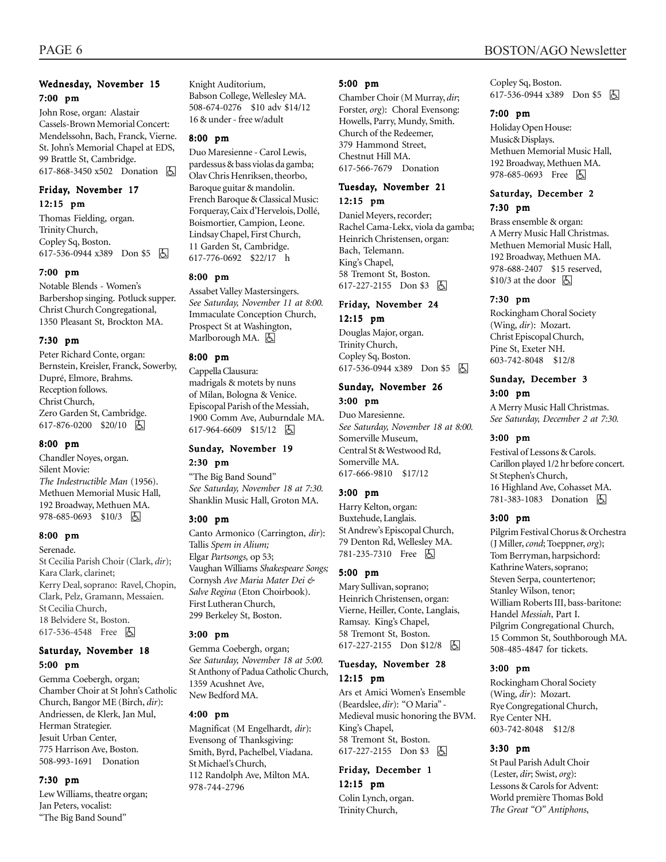### Wednesday, November 15 7:00 pm

John Rose, organ: Alastair Cassels-Brown Memorial Concert: Mendelssohn, Bach, Franck, Vierne. St. John's Memorial Chapel at EDS, 99 Brattle St, Cambridge. 617-868-3450 x502 Donation **b** 

### Friday, November 17 12:15 pm

Thomas Fielding, organ. Trinity Church, Copley Sq, Boston. 617-536-0944 x389 Don \$5 因

### 7:00 pm

Notable Blends - Women's Barbershop singing. Potluck supper. Christ Church Congregational, 1350 Pleasant St, Brockton MA.

### 7:30 pm

Peter Richard Conte, organ: Bernstein, Kreisler, Franck, Sowerby, Dupré, Elmore, Brahms. Reception follows. Christ Church, Zero Garden St, Cambridge. 617-876-0200 \$20/10 |  $\overline{6}$  |

### 8:00 pm

Chandler Noyes, organ. Silent Movie: *The Indestructible Man* (1956). Methuen Memorial Music Hall, 192 Broadway, Methuen MA. 978-685-0693 \$10/3 因

### 8:00 pm

Serenade. St Cecilia Parish Choir (Clark, *dir*); Kara Clark, clarinet; Kerry Deal, soprano: Ravel, Chopin, Clark, Pelz, Gramann, Messaien. St Cecilia Church, 18 Belvidere St, Boston. 617-536-4548 Free 因

### Saturday, November 18 5:00 pm

Gemma Coebergh, organ; Chamber Choir at St John's Catholic Church, Bangor ME (Birch, *dir*): Andriessen, de Klerk, Jan Mul, Herman Strategier. Jesuit Urban Center, 775 Harrison Ave, Boston. 508-993-1691 Donation

### 7:30 pm

Lew Williams, theatre organ; Jan Peters, vocalist: "The Big Band Sound"

### Knight Auditorium,

Babson College, Wellesley MA. 508-674-0276 \$10 adv \$14/12 16 & under - free w/adult

### 8:00 pm

Duo Maresienne - Carol Lewis, pardessus & bass violas da gamba; Olav Chris Henriksen, theorbo, Baroque guitar & mandolin. French Baroque & Classical Music: Forqueray, Caix d'Hervelois, Dollé, Boismortier, Campion, Leone. Lindsay Chapel, First Church, 11 Garden St, Cambridge. 617-776-0692 \$22/17 h

### 8:00 pm

Assabet Valley Mastersingers. *See Saturday, November 11 at 8:00.* Immaculate Conception Church, Prospect St at Washington, Marlborough MA.  $\Box$ 

### 8:00 pm

Cappella Clausura: madrigals & motets by nuns of Milan, Bologna & Venice. Episcopal Parish of the Messiah, 1900 Comm Ave, Auburndale MA. 617-964-6609 \$15/12 因

### Sunday, November 19 2:30 pm

"The Big Band Sound" *See Saturday, November 18 at 7:30.* Shanklin Music Hall, Groton MA.

### 3:00 pm

Canto Armonico (Carrington, *dir*): Tallis *Spem in Alium;* Elgar *Partsongs,* op 53; Vaughan Williams *Shakespeare Songs;* Cornysh *Ave Maria Mater Dei & Salve Regina* (Eton Choirbook). First Lutheran Church, 299 Berkeley St, Boston.

### 3:00 pm

Gemma Coebergh, organ; *See Saturday, November 18 at 5:00.* St Anthony of Padua Catholic Church, 1359 Acushnet Ave, New Bedford MA.

### 4:00 pm

Magnificat (M Engelhardt, *dir*): Evensong of Thanksgiving: Smith, Byrd, Pachelbel, Viadana. St Michael's Church, 112 Randolph Ave, Milton MA. 978-744-2796

### 5:00 pm

Chamber Choir (M Murray, *dir*; Forster, *org*): Choral Evensong: Howells, Parry, Mundy, Smith. Church of the Redeemer, 379 Hammond Street, Chestnut Hill MA. 617-566-7679 Donation

### Tuesday, November 21 12:15 pm

Daniel Meyers, recorder; Rachel Cama-Lekx, viola da gamba; Heinrich Christensen, organ: Bach, Telemann. King's Chapel, 58 Tremont St, Boston. 617-227-2155 Don \$3 因

### Friday, November 24 12:15 pm

Douglas Major, organ. Trinity Church, Copley Sq, Boston. 617-536-0944 x389 Don \$5 h

### Sunday, November 26 3:00 pm

Duo Maresienne. *See Saturday, November 18 at 8:00.* Somerville Museum, Central St & Westwood Rd, Somerville MA. 617-666-9810 \$17/12

### 3:00 pm

Harry Kelton, organ: Buxtehude, Langlais. St Andrew's Episcopal Church, 79 Denton Rd, Wellesley MA. 781-235-7310 Free **A** 

### 5:00 pm

Mary Sullivan, soprano; Heinrich Christensen, organ: Vierne, Heiller, Conte, Langlais, Ramsay. King's Chapel, 58 Tremont St, Boston. 617-227-2155 Don \$12/8 |5

### Tuesday, November 28 12:15 pm

Ars et Amici Women's Ensemble (Beardslee, *dir*): "O Maria" - Medieval music honoring the BVM. King's Chapel, 58 Tremont St, Boston. 617-227-2155 Don \$3 因

### Friday, December 1 12:15 pm

Colin Lynch, organ. Trinity Church,

Copley Sq, Boston. 617-536-0944 x389 Don \$5 固

### 7:00 pm

Holiday Open House: Music& Displays. Methuen Memorial Music Hall, 192 Broadway, Methuen MA. 978-685-0693 Free **A** 

### Saturday, December 2 7:30 pm

Brass ensemble & organ: A Merry Music Hall Christmas. Methuen Memorial Music Hall, 192 Broadway, Methuen MA. 978-688-2407 \$15 reserved,  $$10/3$  at the door  $\Box$ 

### 7:30 pm

Rockingham Choral Society (Wing, *dir*): Mozart. Christ Episcopal Church, Pine St, Exeter NH. 603-742-8048 \$12/8

### Sunday, December 3 3:00 pm

A Merry Music Hall Christmas. *See Saturday, December 2 at 7:30.*

### 3:00 pm

Festival of Lessons & Carols. Carillon played 1/2 hr before concert. St Stephen's Church, 16 Highland Ave, Cohasset MA. 781-383-1083 Donation **A** 

### 3:00 pm

Pilgrim Festival Chorus & Orchestra (J Miller, *cond*; Toeppner, *org*); Tom Berryman, harpsichord: Kathrine Waters, soprano; Steven Serpa, countertenor; Stanley Wilson, tenor; William Roberts III, bass-baritone: Handel *Messiah*, Part I. Pilgrim Congregational Church, 15 Common St, Southborough MA. 508-485-4847 for tickets.

### 3:00 pm

Rockingham Choral Society (Wing, *dir*): Mozart. Rye Congregational Church, Rye Center NH. 603-742-8048 \$12/8

### 3:30 pm

St Paul Parish Adult Choir (Lester, *dir*; Swist, *org*): Lessons & Carols for Advent: World première Thomas Bold *The Great "O" Antiphons*,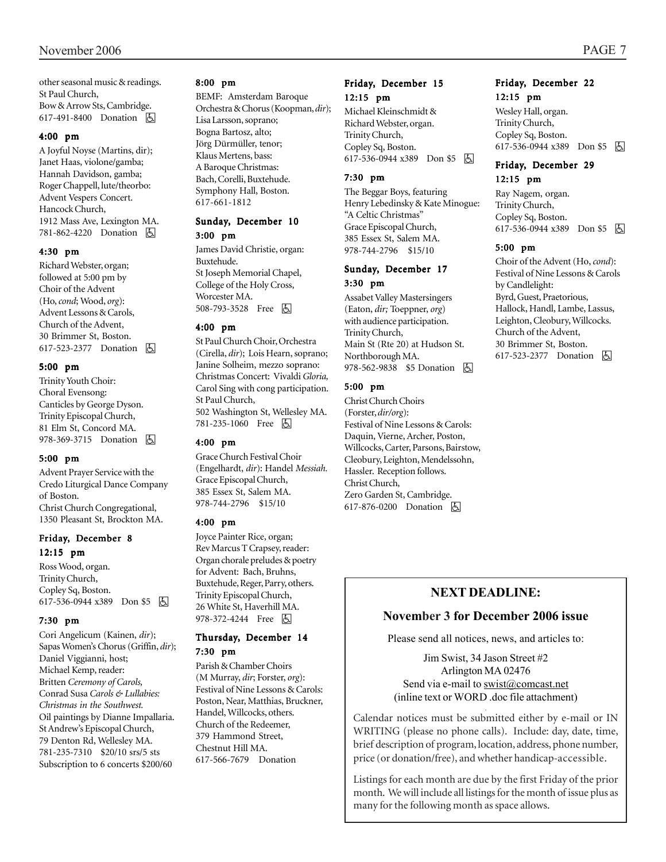other seasonal music & readings. St Paul Church, Bow & Arrow Sts, Cambridge. 617-491-8400 Donation **b** 

### 4:00 pm

A Joyful Noyse (Martins, dir); Janet Haas, violone/gamba; Hannah Davidson, gamba; Roger Chappell, lute/theorbo: Advent Vespers Concert. Hancock Church, 1912 Mass Ave, Lexington MA. 781-862-4220 Donation **b** 

### 4:30 pm

Richard Webster, organ; followed at 5:00 pm by Choir of the Advent (Ho, *cond*; Wood, *org*): Advent Lessons & Carols, Church of the Advent, 30 Brimmer St, Boston. 617-523-2377 Donation **b** 

### 5:00 pm

Trinity Youth Choir: Choral Evensong: Canticles by George Dyson. Trinity Episcopal Church, 81 Elm St, Concord MA. 978-369-3715 Donation 因

### 5:00 pm

Advent Prayer Service with the Credo Liturgical Dance Company of Boston. Christ Church Congregational, 1350 Pleasant St, Brockton MA.

### Friday, December 8 12:15 pm

Ross Wood, organ. Trinity Church, Copley Sq, Boston. 617-536-0944 x389 Don \$5 因

### 7:30 pm

Cori Angelicum (Kainen, *dir*); Sapas Women's Chorus (Griffin, *dir*); Daniel Viggianni, host; Michael Kemp, reader: Britten *Ceremony of Carols,* Conrad Susa *Carols & Lullabies: Christmas in the Southwest.* Oil paintings by Dianne Impallaria. St Andrew's Episcopal Church, 79 Denton Rd, Wellesley MA. 781-235-7310 \$20/10 srs/5 sts Subscription to 6 concerts \$200/60

### 8:00 pm

BEMF: Amsterdam Baroque Orchestra & Chorus (Koopman, *dir*); Lisa Larsson, soprano; Bogna Bartosz, alto; Jörg Dürmüller, tenor; Klaus Mertens, bass: A Baroque Christmas: Bach, Corelli, Buxtehude. Symphony Hall, Boston. 617-661-1812

### Sunday, December 10 3:00 pm

James David Christie, organ: Buxtehude. St Joseph Memorial Chapel, College of the Holy Cross, Worcester MA. 508-793-3528 Free 因

### 4:00 pm

St Paul Church Choir, Orchestra (Cirella, *dir*); Lois Hearn, soprano; Janine Solheim, mezzo soprano: Christmas Concert: Vivaldi *Gloria,* Carol Sing with cong participation. St Paul Church, 502 Washington St, Wellesley MA. 781-235-1060 Free 因

### 4:00 pm

Grace Church Festival Choir (Engelhardt, *dir*): Handel *Messiah.* Grace Episcopal Church, 385 Essex St, Salem MA. 978-744-2796 \$15/10

### 4:00 pm

Joyce Painter Rice, organ; Rev Marcus T Crapsey, reader: Organ chorale preludes & poetry for Advent: Bach, Bruhns, Buxtehude, Reger, Parry, others. Trinity Episcopal Church, 26 White St, Haverhill MA. 978-372-4244 Free 因

### Thursday, December 14 7:30 pm

Parish & Chamber Choirs (M Murray, *dir*; Forster, *org*): Festival of Nine Lessons & Carols: Poston, Near, Matthias, Bruckner, Handel, Willcocks, others. Church of the Redeemer, 379 Hammond Street, Chestnut Hill MA. 617-566-7679 Donation

### Friday, December 15 12:15 pm

Michael Kleinschmidt & Richard Webster, organ. Trinity Church, Copley Sq, Boston. 617-536-0944 x389 Don \$5 h

### 7:30 pm

The Beggar Boys, featuring Henry Lebedinsky & Kate Minogue: "A Celtic Christmas" Grace Episcopal Church, 385 Essex St, Salem MA. 978-744-2796 \$15/10

### Sunday, December 17 3:30 pm

Assabet Valley Mastersingers (Eaton, *dir;* Toeppner, *org*) with audience participation. Trinity Church, Main St (Rte 20) at Hudson St. Northborough MA. 978-562-9838 \$5 Donation **b** 

### 5:00 pm

Christ Church Choirs (Forster, *dir/org*): Festival of Nine Lessons & Carols: Daquin, Vierne, Archer, Poston, Willcocks, Carter, Parsons, Bairstow, Cleobury, Leighton, Mendelssohn, Hassler. Reception follows. Christ Church, Zero Garden St, Cambridge. 617-876-0200 Donation **b** 

### Friday, December 22 12:15 pm

Wesley Hall, organ. Trinity Church, Copley Sq, Boston. 617-536-0944 x389 Don \$5 因

### Friday, December 29 12:15 pm

Ray Nagem, organ. Trinity Church, Copley Sq, Boston. 617-536-0944 x389 Don \$5

### 5:00 pm

Choir of the Advent (Ho, *cond*): Festival of Nine Lessons & Carols by Candlelight: Byrd, Guest, Praetorious, Hallock, Handl, Lambe, Lassus, Leighton, Cleobury, Willcocks. Church of the Advent, 30 Brimmer St, Boston. 617-523-2377 Donation **b** 

# **NEXT DEADLINE:**

### **November 3 for December 2006 issue**

Please send all notices, news, and articles to:

Jim Swist, 34 Jason Street #2 Arlington MA 02476 Send via e-mail to swist@comcast.net (inline text or WORD .doc file attachment)

. Calendar notices must be submitted either by e-mail or IN WRITING (please no phone calls). Include: day, date, time, brief description of program, location, address, phone number, price (or donation/free), and whether handicap-accessible.

Listings for each month are due by the first Friday of the prior month. We will include all listings for the month of issue plus as many for the following month as space allows.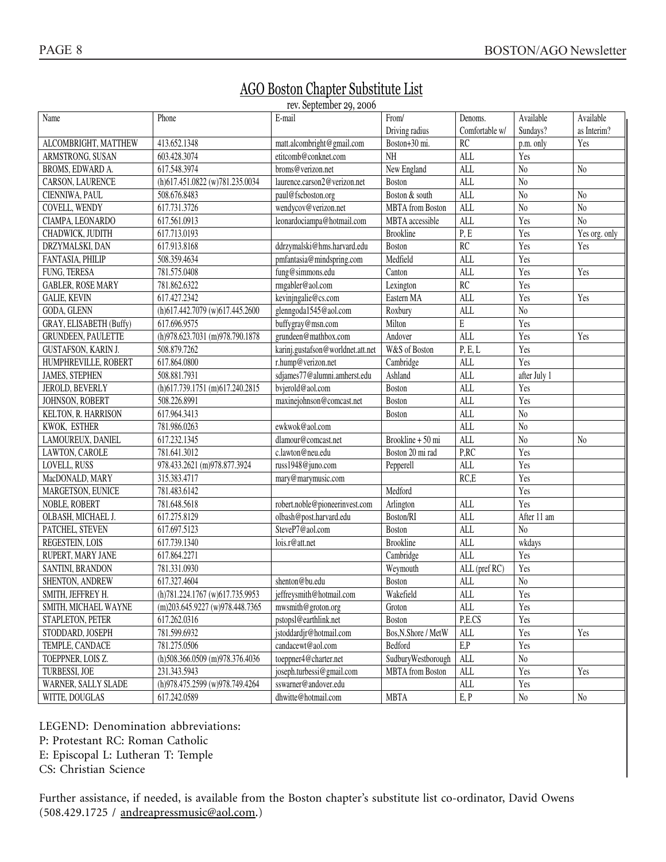# AGO Boston Chapter Substitute List

| rev. September 29, 2006 |  |
|-------------------------|--|

| Name                     | Phone                                 | E-mail                                    | From/                   | Denoms.<br>Comfortable w/ | Available       | Available     |
|--------------------------|---------------------------------------|-------------------------------------------|-------------------------|---------------------------|-----------------|---------------|
|                          |                                       |                                           | Driving radius          |                           | Sundays?        | as Interim?   |
| ALCOMBRIGHT, MATTHEW     | 413.652.1348                          | matt.alcombright@gmail.com                | Boston+30 mi.<br>NH     | RC                        | p.m. only       | Yes           |
| ARMSTRONG, SUSAN         | 603.428.3074                          | etitcomb@conknet.com<br>broms@verizon.net |                         | <b>ALL</b>                | Yes             |               |
| BROMS, EDWARD A.         | 617.548.3974                          |                                           | New England             | <b>ALL</b>                | No              | $\rm No$      |
| CARSON, LAURENCE         | (h)617.451.0822 (w)781.235.0034       | laurence.carson2@verizon.net              | Boston                  | <b>ALL</b>                | $\rm No$        |               |
| CIENNIWA, PAUL           | 508.676.8483                          | paul@fscboston.org                        | Boston & south          | <b>ALL</b>                | No              | No            |
| COVELL, WENDY            | 617.731.3726                          | wendycov@verizon.net                      | <b>MBTA</b> from Boston | <b>ALL</b>                | $\rm No$        | No            |
| CIAMPA, LEONARDO         | 617.561.0913                          | leonardociampa@hotmail.com                | <b>MBTA</b> accessible  | <b>ALL</b>                | Yes             | No            |
| CHADWICK, JUDITH         | 617.713.0193                          |                                           | <b>Brookline</b>        | P, E                      | Yes             | Yes org. only |
| DRZYMALSKI, DAN          | 617.913.8168                          | ddrzymalski@hms.harvard.edu               | Boston                  | RC                        | Yes             | Yes           |
| FANTASIA, PHILIP         | 508.359.4634                          | pmfantasia@mindspring.com                 | Medfield                | <b>ALL</b>                | Yes             |               |
| FUNG, TERESA             | 781.575.0408                          | fung@simmons.edu                          | Canton                  | <b>ALL</b>                | Yes             | Yes           |
| <b>GABLER, ROSE MARY</b> | 781.862.6322                          | rmgabler@aol.com                          | Lexington               | $\overline{RC}$           | Yes             |               |
| <b>GALIE, KEVIN</b>      | 617.427.2342                          | kevinjngalie@cs.com                       | Eastern MA              | <b>ALL</b>                | Yes             | Yes           |
| GODA, GLENN              | (h)617.442.7079 (w)617.445.2600       | glenngoda1545@aol.com                     | Roxbury                 | <b>ALL</b>                | $\overline{No}$ |               |
| GRAY, ELISABETH (Buffy)  | 617.696.9575                          | buffygray@msn.com                         | Milton                  | E                         | Yes             |               |
| GRUNDEEN, PAULETTE       | (h)978.623.7031 (m)978.790.1878       | grundeen@mathbox.com                      | Andover                 | <b>ALL</b>                | Yes             | Yes           |
| GUSTAFSON, KARIN J.      | 508.879.7262                          | karinj.gustafson@worldnet.att.net         | W&S of Boston           | P, E, L                   | Yes             |               |
| HUMPHREVILLE, ROBERT     | 617.864.0800                          | r.hump@verizon.net                        | Cambridge               | <b>ALL</b>                | Yes             |               |
| <b>JAMES, STEPHEN</b>    | 508.881.7931                          | sdjames77@alumni.amherst.edu              | Ashland                 | <b>ALL</b>                | after July 1    |               |
| JEROLD, BEVERLY          | (h)617.739.1751 (m)617.240.2815       | bvjerold@aol.com                          | Boston                  | <b>ALL</b>                | Yes             |               |
| JOHNSON, ROBERT          | 508.226.8991                          | maxinejohnson@comcast.net                 | Boston                  | <b>ALL</b>                | Yes             |               |
| KELTON, R. HARRISON      | 617.964.3413                          |                                           | Boston                  | <b>ALL</b>                | No              |               |
| KWOK, ESTHER             | 781.986.0263                          | ewkwok@aol.com                            |                         | <b>ALL</b>                | No              |               |
| LAMOUREUX, DANIEL        | 617.232.1345                          | dlamour@comcast.net                       | Brookline + 50 mi       | <b>ALL</b>                | No              | No            |
| LAWTON, CAROLE           | 781.641.3012                          | c.lawton@neu.edu                          | Boston 20 mi rad        | P,RC                      | Yes             |               |
| LOVELL, RUSS             | 978.433.2621 (m)978.877.3924          | russ1948@juno.com                         | Pepperell               | <b>ALL</b>                | Yes             |               |
| MacDONALD, MARY          | 315.383.4717                          | mary@marymusic.com                        |                         | RC.E                      | Yes             |               |
| MARGETSON, EUNICE        | 781.483.6142                          |                                           | Medford                 |                           | Yes             |               |
| NOBLE, ROBERT            | 781.648.5618                          | robert.noble@pioneerinvest.com            | Arlington               | <b>ALL</b>                | Yes             |               |
| OLBASH, MICHAEL J.       | 617.275.8129                          | olbash@post.harvard.edu                   | Boston/RI               | <b>ALL</b>                | After 11 am     |               |
| PATCHEL, STEVEN          | 617.697.5123                          | SteveP7@aol.com                           | Boston                  | <b>ALL</b>                | No              |               |
| REGESTEIN, LOIS          | 617.739.1340                          | lois.r@att.net                            | <b>Brookline</b>        | <b>ALL</b>                | wkdays          |               |
| RUPERT, MARY JANE        | 617.864.2271                          |                                           | Cambridge               | <b>ALL</b>                | Yes             |               |
| SANTINI, BRANDON         | 781.331.0930                          |                                           | Weymouth                | ALL (pref RC)             | Yes             |               |
| SHENTON, ANDREW          | 617.327.4604                          | shenton@bu.edu                            | Boston                  | <b>ALL</b>                | No              |               |
| SMITH, JEFFREY H.        | (h)781.224.1767 (w)617.735.9953       | jeffreysmith@hotmail.com                  | Wakefield               | <b>ALL</b>                | Yes             |               |
| SMITH, MICHAEL WAYNE     | $(m)$ 203.645.9227 (w)978.448.7365    | mwsmith@groton.org                        | Groton                  | $\mbox{ALL}$              | Yes             |               |
| STAPLETON, PETER         | 617.262.0316                          | pstopsl@earthlink.net                     | Boston                  | P,E.CS                    | Yes             |               |
| STODDARD, JOSEPH         | 781.599.6932                          | jstoddardjr@hotmail.com                   | Bos, N. Shore / MetW    | ALL                       | Yes             | Yes           |
| TEMPLE, CANDACE          | 781.275.0506                          | candacewt@aol.com                         | Bedford                 | E, P                      | Yes             |               |
| TOEPPNER, LOIS Z.        | (h) $508.366.0509$ (m) $978.376.4036$ | toeppner4@charter.net                     | SudburyWestborough      | ALL                       | $\rm No$        |               |
|                          |                                       | joseph.turbessi@gmail.com                 |                         |                           |                 |               |
| TURBESSI, JOE            | 231.343.5943                          |                                           | <b>MBTA</b> from Boston | ALL                       | Yes             | Yes           |
| WARNER, SALLY SLADE      | (h)978.475.2599 (w)978.749.4264       | sswarner@andover.edu                      |                         | $\mbox{ALL}$              | Yes             |               |
| WITTE, DOUGLAS           | 617.242.0589                          | dhwitte@hotmail.com                       | <b>MBTA</b>             | E, P                      | $\rm No$        | $\rm No$      |

LEGEND: Denomination abbreviations: P: Protestant RC: Roman Catholic E: Episcopal L: Lutheran T: Temple CS: Christian Science

Further assistance, if needed, is available from the Boston chapter's substitute list co-ordinator, David Owens (508.429.1725 / andreapressmusic@aol.com.)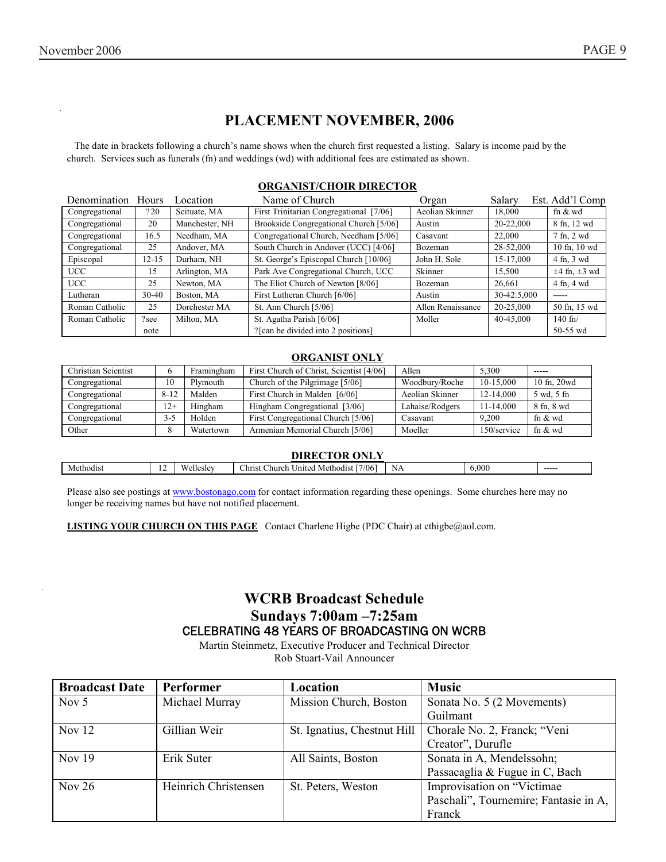# **PLACEMENT NOVEMBER, 2006**

 The date in brackets following a church's name shows when the church first requested a listing. Salary is income paid by the church. Services such as funerals (fn) and weddings (wd) with additional fees are estimated as shown.

| oromusi/choir birdci or                 |           |                                     |                                         |                   |                        |                 |
|-----------------------------------------|-----------|-------------------------------------|-----------------------------------------|-------------------|------------------------|-----------------|
| Denomination Hours                      |           | Name of Church<br>Location          |                                         | Organ             | Salary                 | Est. Add'l Comp |
| Congregational<br>?20<br>Scituate, MA   |           |                                     | First Trinitarian Congregational [7/06] | Aeolian Skinner   | 18,000                 | fn $&$ wd       |
| Congregational                          | 20        | Manchester, NH                      | Brookside Congregational Church [5/06]  | Austin            | 20-22,000              | 8 fn, 12 wd     |
| Congregational                          | 16.5      | Needham, MA                         | Congregational Church, Needham [5/06]   | Casavant          | 22,000                 | 7 fn, 2 wd      |
| Congregational                          | 25        | Andover, MA                         | South Church in Andover (UCC) [4/06]    | Bozeman           | 28-52,000              | 10 fn, 10 wd    |
| Episcopal                               | $12 - 15$ | Durham, NH                          | St. George's Episcopal Church [10/06]   | John H. Sole      | 15-17,000              | 4 fn, 3 wd      |
| UCC<br>Arlington, MA<br>15              |           | Park Ave Congregational Church, UCC | Skinner                                 | 15.500            | $\pm 4$ fn, $\pm 3$ wd |                 |
| UCC                                     | 25        | Newton, MA                          | The Eliot Church of Newton [8/06]       | Bozeman           | 26.661                 | 4 fn, 4 wd      |
| Lutheran                                | $30 - 40$ | Boston, MA                          | First Lutheran Church [6/06]            | Austin            | 30-42.5,000            | -----           |
| Roman Catholic                          | 25        | Dorchester MA                       | St. Ann Church $[5/06]$                 | Allen Renaissance | 20-25,000              | 50 fn, 15 wd    |
| Roman Catholic<br>$?$ see<br>Milton, MA |           | St. Agatha Parish [6/06]            | Moller                                  | 40-45,000         | $140$ fn/              |                 |
| note                                    |           |                                     | ? [can be divided into 2 positions]     |                   |                        | 50-55 wd        |

### **ORGANIST/CHOIR DIRECTOR**

### **ORGANIST ONLY**

| Christian Scientist        |  | Framingham                                  | First Church of Christ, Scientist [4/06] | Allen           | 5.300       | $- - - - -$ |
|----------------------------|--|---------------------------------------------|------------------------------------------|-----------------|-------------|-------------|
| Congregational             |  | Church of the Pilgrimage [5/06]<br>Plymouth |                                          | Woodbury/Roche  | 10-15.000   | 10 fn, 20wd |
| $8 - 12$<br>Congregational |  | Malden                                      | First Church in Malden [6/06]            | Aeolian Skinner | 12-14.000   | 5 wd, 5 fn  |
| Congregational<br>$12+$    |  | Hingham                                     | Hingham Congregational [3/06]            | Lahaise/Rodgers | 11-14.000   | 8 fn, 8 wd  |
| Congregational<br>$3 - 5$  |  | Holden                                      | First Congregational Church [5/06]       | Casavant        | 9.200       | fn $&$ wd   |
| Other                      |  | Watertown                                   | Armenian Memorial Church [5/06]          | Moeller         | 150/service | fn $&$ wd   |

### **DIRECTOR ONLY**

| 2.11                 |               |                               |                                                                              |                                                |      |        |
|----------------------|---------------|-------------------------------|------------------------------------------------------------------------------|------------------------------------------------|------|--------|
| Metho<br>od ist<br>. | $\sim$<br>. . | $\mathbf{u}$<br>ellesley<br>. | $\sim$<br>706.<br>:\hrist<br>$_{\rm{c}}$ hurch<br>Methodist<br><i>Insted</i> | NA<br>the contract of the contract of the con- | .000 | ------ |
|                      |               |                               |                                                                              |                                                |      |        |

Please also see postings at www.bostonago.com for contact information regarding these openings. Some churches here may no longer be receiving names but have not notified placement.

**LISTING YOUR CHURCH ON THIS PAGE** Contact Charlene Higbe (PDC Chair) at cthigbe@aol.com.

# **WCRB Broadcast Schedule Sundays 7:00am –7:25am**  CELEBRATING 48 YEARS OF BROADCASTING ON WCRB

Martin Steinmetz, Executive Producer and Technical Director Rob Stuart-Vail Announcer

| <b>Broadcast Date</b> | <b>Performer</b>     | Location                    | <b>Music</b>                          |
|-----------------------|----------------------|-----------------------------|---------------------------------------|
| Nov $5$               | Michael Murray       | Mission Church, Boston      | Sonata No. 5 (2 Movements)            |
|                       |                      |                             | Guilmant                              |
| Nov 12                | Gillian Weir         | St. Ignatius, Chestnut Hill | Chorale No. 2, Franck; "Veni          |
|                       |                      |                             | Creator", Durufle                     |
| Nov $19$              | Erik Suter           | All Saints, Boston          | Sonata in A, Mendelssohn;             |
|                       |                      |                             | Passacaglia & Fugue in C, Bach        |
| Nov $26$              | Heinrich Christensen | St. Peters, Weston          | Improvisation on "Victimae"           |
|                       |                      |                             | Paschali", Tournemire; Fantasie in A, |
|                       |                      |                             | Franck                                |